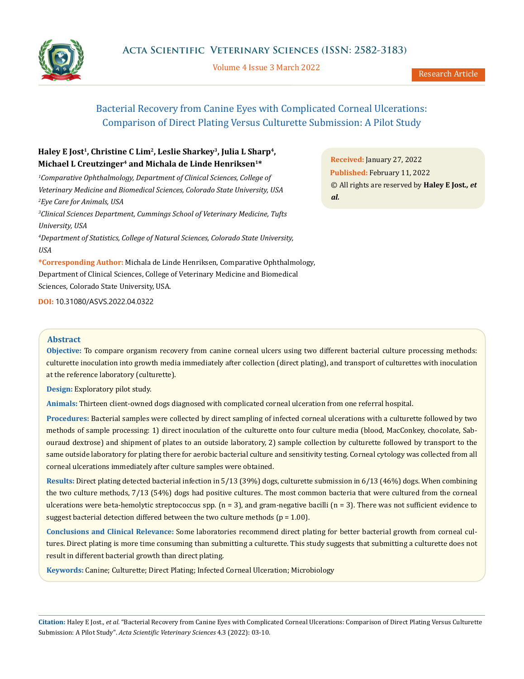

Volume 4 Issue 3 March 2022

# Bacterial Recovery from Canine Eyes with Complicated Corneal Ulcerations: Comparison of Direct Plating Versus Culturette Submission: A Pilot Study

## **Haley E Jost1, Christine C Lim2, Leslie Sharkey3, Julia L Sharp4, Michael L Creutzinger4 and Michala de Linde Henriksen1\***

<sup>1</sup> Comparative Ophthalmology, Department of Clinical Sciences, College of *Veterinary Medicine and Biomedical Sciences, Colorado State University, USA 2 Eye Care for Animals, USA*

*3 Clinical Sciences Department, Cummings School of Veterinary Medicine, Tufts University, USA*

*4 Department of Statistics, College of Natural Sciences, Colorado State University, USA*

**\*Corresponding Author:** Michala de Linde Henriksen, Comparative Ophthalmology, Department of Clinical Sciences, College of Veterinary Medicine and Biomedical Sciences, Colorado State University, USA.

**DOI:** [10.31080/ASVS.2022.04.032](http://actascientific.com/ASVS/pdf/ASVS-04-0322.pdf)2

#### **Abstract**

**Objective:** To compare organism recovery from canine corneal ulcers using two different bacterial culture processing methods: culturette inoculation into growth media immediately after collection (direct plating), and transport of culturettes with inoculation at the reference laboratory (culturette).

**Design:** Exploratory pilot study.

**Animals:** Thirteen client-owned dogs diagnosed with complicated corneal ulceration from one referral hospital.

**Procedures:** Bacterial samples were collected by direct sampling of infected corneal ulcerations with a culturette followed by two methods of sample processing: 1) direct inoculation of the culturette onto four culture media (blood, MacConkey, chocolate, Sabouraud dextrose) and shipment of plates to an outside laboratory, 2) sample collection by culturette followed by transport to the same outside laboratory for plating there for aerobic bacterial culture and sensitivity testing. Corneal cytology was collected from all corneal ulcerations immediately after culture samples were obtained.

**Results:** Direct plating detected bacterial infection in 5/13 (39%) dogs, culturette submission in 6/13 (46%) dogs. When combining the two culture methods, 7/13 (54%) dogs had positive cultures. The most common bacteria that were cultured from the corneal ulcerations were beta-hemolytic streptococcus spp.  $(n = 3)$ , and gram-negative bacilli  $(n = 3)$ . There was not sufficient evidence to suggest bacterial detection differed between the two culture methods ( $p = 1.00$ ).

**Conclusions and Clinical Relevance:** Some laboratories recommend direct plating for better bacterial growth from corneal cultures. Direct plating is more time consuming than submitting a culturette. This study suggests that submitting a culturette does not result in different bacterial growth than direct plating.

**Keywords:** Canine; Culturette; Direct Plating; Infected Corneal Ulceration; Microbiology

**Citation:** Haley E Jost*., et al.* "Bacterial Recovery from Canine Eyes with Complicated Corneal Ulcerations: Comparison of Direct Plating Versus Culturette Submission: A Pilot Study". *Acta Scientific Veterinary Sciences* 4.3 (2022): 03-10.

**Received:** January 27, 2022 **Published:** February 11, 2022 © All rights are reserved by **Haley E Jost***., et al.*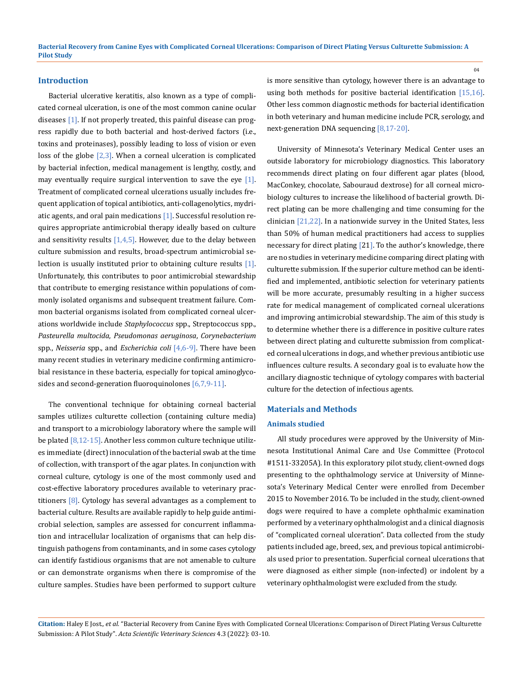#### **Introduction**

Bacterial ulcerative keratitis, also known as a type of complicated corneal ulceration, is one of the most common canine ocular diseases [1]. If not properly treated, this painful disease can progress rapidly due to both bacterial and host-derived factors (i.e., toxins and proteinases), possibly leading to loss of vision or even loss of the globe  $[2,3]$ . When a corneal ulceration is complicated by bacterial infection, medical management is lengthy, costly, and may eventually require surgical intervention to save the eye  $[1]$ . Treatment of complicated corneal ulcerations usually includes frequent application of topical antibiotics, anti-collagenolytics, mydriatic agents, and oral pain medications  $[1]$ . Successful resolution requires appropriate antimicrobial therapy ideally based on culture and sensitivity results  $[1,4,5]$ . However, due to the delay between culture submission and results, broad-spectrum antimicrobial selection is usually instituted prior to obtaining culture results  $[1]$ . Unfortunately, this contributes to poor antimicrobial stewardship that contribute to emerging resistance within populations of commonly isolated organisms and subsequent treatment failure. Common bacterial organisms isolated from complicated corneal ulcerations worldwide include *Staphylococcus* spp., Streptococcus spp., *Pasteurella multocida*, *Pseudomonas aeruginosa*, *Corynebacterium* spp., *Neisseria* spp., and *Escherichia coli* [4,6-9]. There have been many recent studies in veterinary medicine confirming antimicrobial resistance in these bacteria, especially for topical aminoglycosides and second-generation fluoroquinolones [6,7,9-11].

The conventional technique for obtaining corneal bacterial samples utilizes culturette collection (containing culture media) and transport to a microbiology laboratory where the sample will be plated  $[8,12-15]$ . Another less common culture technique utilizes immediate (direct) innoculation of the bacterial swab at the time of collection, with transport of the agar plates. In conjunction with corneal culture, cytology is one of the most commonly used and cost-effective laboratory procedures available to veterinary practitioners [8]. Cytology has several advantages as a complement to bacterial culture. Results are available rapidly to help guide antimicrobial selection, samples are assessed for concurrent inflammation and intracellular localization of organisms that can help distinguish pathogens from contaminants, and in some cases cytology can identify fastidious organisms that are not amenable to culture or can demonstrate organisms when there is compromise of the culture samples. Studies have been performed to support culture is more sensitive than cytology, however there is an advantage to using both methods for positive bacterial identification [15,16]. Other less common diagnostic methods for bacterial identification in both veterinary and human medicine include PCR, serology, and next-generation DNA sequencing [8,17-20].

University of Minnesota's Veterinary Medical Center uses an outside laboratory for microbiology diagnostics. This laboratory recommends direct plating on four different agar plates (blood, MacConkey, chocolate, Sabouraud dextrose) for all corneal microbiology cultures to increase the likelihood of bacterial growth. Direct plating can be more challenging and time consuming for the clinician [21,22]. In a nationwide survey in the United States, less than 50% of human medical practitioners had access to supplies necessary for direct plating [21]. To the author's knowledge, there are no studies in veterinary medicine comparing direct plating with culturette submission. If the superior culture method can be identified and implemented, antibiotic selection for veterinary patients will be more accurate, presumably resulting in a higher success rate for medical management of complicated corneal ulcerations and improving antimicrobial stewardship. The aim of this study is to determine whether there is a difference in positive culture rates between direct plating and culturette submission from complicated corneal ulcerations in dogs, and whether previous antibiotic use influences culture results. A secondary goal is to evaluate how the ancillary diagnostic technique of cytology compares with bacterial culture for the detection of infectious agents.

#### **Materials and Methods**

#### **Animals studied**

All study procedures were approved by the University of Minnesota Institutional Animal Care and Use Committee (Protocol #1511-33205A). In this exploratory pilot study, client-owned dogs presenting to the ophthalmology service at University of Minnesota's Veterinary Medical Center were enrolled from December 2015 to November 2016. To be included in the study, client-owned dogs were required to have a complete ophthalmic examination performed by a veterinary ophthalmologist and a clinical diagnosis of "complicated corneal ulceration". Data collected from the study patients included age, breed, sex, and previous topical antimicrobials used prior to presentation. Superficial corneal ulcerations that were diagnosed as either simple (non-infected) or indolent by a veterinary ophthalmologist were excluded from the study.

**Citation:** Haley E Jost*., et al.* "Bacterial Recovery from Canine Eyes with Complicated Corneal Ulcerations: Comparison of Direct Plating Versus Culturette Submission: A Pilot Study". *Acta Scientific Veterinary Sciences* 4.3 (2022): 03-10.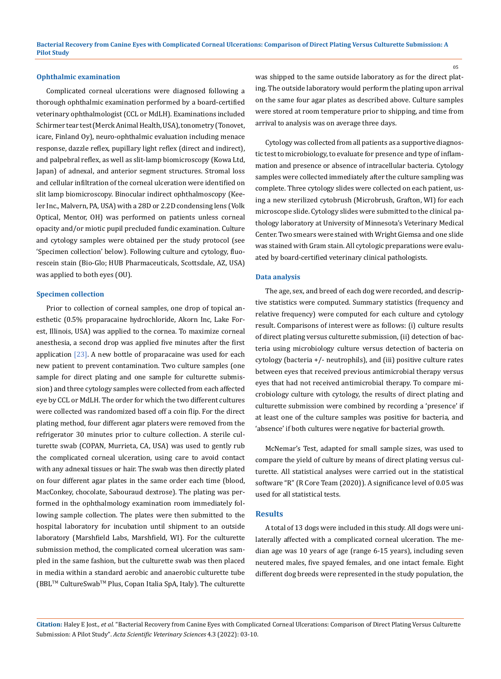#### **Ophthalmic examination**

Complicated corneal ulcerations were diagnosed following a thorough ophthalmic examination performed by a board-certified veterinary ophthalmologist (CCL or MdLH). Examinations included Schirmer tear test (Merck Animal Health, USA), tonometry (Tonovet, icare, Finland Oy), neuro-ophthalmic evaluation including menace response, dazzle reflex, pupillary light reflex (direct and indirect), and palpebral reflex, as well as slit-lamp biomicroscopy (Kowa Ltd, Japan) of adnexal, and anterior segment structures. Stromal loss and cellular infiltration of the corneal ulceration were identified on slit lamp biomicroscopy. Binocular indirect ophthalmoscopy (Keeler Inc., Malvern, PA, USA) with a 28D or 2.2D condensing lens (Volk Optical, Mentor, OH) was performed on patients unless corneal opacity and/or miotic pupil precluded fundic examination. Culture and cytology samples were obtained per the study protocol (see 'Specimen collection' below). Following culture and cytology, fluorescein stain (Bio-Glo; HUB Pharmaceuticals, Scottsdale, AZ, USA) was applied to both eyes (OU).

#### **Specimen collection**

Prior to collection of corneal samples, one drop of topical anesthetic (0.5% proparacaine hydrochloride, Akorn Inc, Lake Forest, Illinois, USA) was applied to the cornea. To maximize corneal anesthesia, a second drop was applied five minutes after the first application  $[23]$ . A new bottle of proparacaine was used for each new patient to prevent contamination. Two culture samples (one sample for direct plating and one sample for culturette submission) and three cytology samples were collected from each affected eye by CCL or MdLH. The order for which the two different cultures were collected was randomized based off a coin flip. For the direct plating method, four different agar platers were removed from the refrigerator 30 minutes prior to culture collection. A sterile culturette swab (COPAN, Murrieta, CA, USA) was used to gently rub the complicated corneal ulceration, using care to avoid contact with any adnexal tissues or hair. The swab was then directly plated on four different agar plates in the same order each time (blood, MacConkey, chocolate, Sabouraud dextrose). The plating was performed in the ophthalmology examination room immediately following sample collection. The plates were then submitted to the hospital laboratory for incubation until shipment to an outside laboratory (Marshfield Labs, Marshfield, WI). For the culturette submission method, the complicated corneal ulceration was sampled in the same fashion, but the culturette swab was then placed in media within a standard aerobic and anaerobic culturette tube (BBLTM CultureSwabTM Plus, Copan Italia SpA, Italy). The culturette

was shipped to the same outside laboratory as for the direct plating. The outside laboratory would perform the plating upon arrival on the same four agar plates as described above. Culture samples were stored at room temperature prior to shipping, and time from arrival to analysis was on average three days.

Cytology was collected from all patients as a supportive diagnostic test to microbiology, to evaluate for presence and type of inflammation and presence or absence of intracellular bacteria. Cytology samples were collected immediately after the culture sampling was complete. Three cytology slides were collected on each patient, using a new sterilized cytobrush (Microbrush, Grafton, WI) for each microscope slide. Cytology slides were submitted to the clinical pathology laboratory at University of Minnesota's Veterinary Medical Center. Two smears were stained with Wright Giemsa and one slide was stained with Gram stain. All cytologic preparations were evaluated by board-certified veterinary clinical pathologists.

#### **Data analysis**

The age, sex, and breed of each dog were recorded, and descriptive statistics were computed. Summary statistics (frequency and relative frequency) were computed for each culture and cytology result. Comparisons of interest were as follows: (i) culture results of direct plating versus culturette submission, (ii) detection of bacteria using microbiology culture versus detection of bacteria on cytology (bacteria +/- neutrophils), and (iii) positive culture rates between eyes that received previous antimicrobial therapy versus eyes that had not received antimicrobial therapy. To compare microbiology culture with cytology, the results of direct plating and culturette submission were combined by recording a 'presence' if at least one of the culture samples was positive for bacteria, and 'absence' if both cultures were negative for bacterial growth.

McNemar's Test, adapted for small sample sizes, was used to compare the yield of culture by means of direct plating versus culturette. All statistical analyses were carried out in the statistical software "R" (R Core Team (2020)). A significance level of 0.05 was used for all statistical tests.

#### **Results**

A total of 13 dogs were included in this study. All dogs were unilaterally affected with a complicated corneal ulceration. The median age was 10 years of age (range 6-15 years), including seven neutered males, five spayed females, and one intact female. Eight different dog breeds were represented in the study population, the

**Citation:** Haley E Jost*., et al.* "Bacterial Recovery from Canine Eyes with Complicated Corneal Ulcerations: Comparison of Direct Plating Versus Culturette Submission: A Pilot Study". *Acta Scientific Veterinary Sciences* 4.3 (2022): 03-10.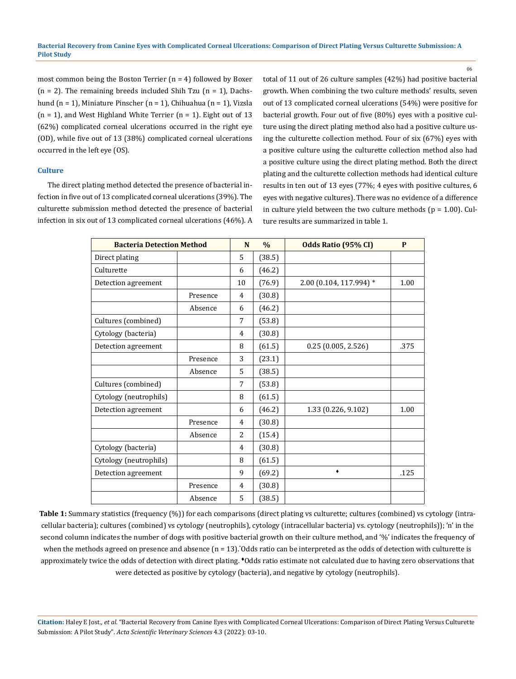most common being the Boston Terrier (n = 4) followed by Boxer  $(n = 2)$ . The remaining breeds included Shih Tzu  $(n = 1)$ , Dachshund (n = 1), Miniature Pinscher (n = 1), Chihuahua (n = 1), Vizsla  $(n = 1)$ , and West Highland White Terrier  $(n = 1)$ . Eight out of 13 (62%) complicated corneal ulcerations occurred in the right eye (OD), while five out of 13 (38%) complicated corneal ulcerations occurred in the left eye (OS).

#### **Culture**

The direct plating method detected the presence of bacterial infection in five out of 13 complicated corneal ulcerations (39%). The culturette submission method detected the presence of bacterial infection in six out of 13 complicated corneal ulcerations (46%). A total of 11 out of 26 culture samples (42%) had positive bacterial growth. When combining the two culture methods' results, seven out of 13 complicated corneal ulcerations (54%) were positive for bacterial growth. Four out of five (80%) eyes with a positive culture using the direct plating method also had a positive culture using the culturette collection method. Four of six (67%) eyes with a positive culture using the culturette collection method also had a positive culture using the direct plating method. Both the direct plating and the culturette collection methods had identical culture results in ten out of 13 eyes (77%; 4 eyes with positive cultures, 6 eyes with negative cultures). There was no evidence of a difference in culture yield between the two culture methods ( $p = 1.00$ ). Culture results are summarized in table 1.

06

| <b>Bacteria Detection Method</b> |          | N<br>$\frac{0}{0}$ |        | Odds Ratio (95% CI)     | P    |
|----------------------------------|----------|--------------------|--------|-------------------------|------|
| Direct plating                   |          | 5                  | (38.5) |                         |      |
| Culturette                       |          | 6                  | (46.2) |                         |      |
| Detection agreement              |          | 10                 | (76.9) | 2.00 (0.104, 117.994) * | 1.00 |
|                                  | Presence | 4                  | (30.8) |                         |      |
|                                  | Absence  | 6                  | (46.2) |                         |      |
| Cultures (combined)              |          | 7                  | (53.8) |                         |      |
| Cytology (bacteria)              |          | 4                  | (30.8) |                         |      |
| Detection agreement              |          | 8                  | (61.5) | 0.25(0.005, 2.526)      | .375 |
|                                  | Presence | 3                  | (23.1) |                         |      |
|                                  | Absence  | 5                  | (38.5) |                         |      |
| Cultures (combined)              |          | 7                  | (53.8) |                         |      |
| Cytology (neutrophils)           |          | 8                  | (61.5) |                         |      |
| Detection agreement              |          | 6                  | (46.2) | 1.33 (0.226, 9.102)     | 1.00 |
|                                  | Presence | 4                  | (30.8) |                         |      |
|                                  | Absence  | $\overline{a}$     | (15.4) |                         |      |
| Cytology (bacteria)              |          | 4                  | (30.8) |                         |      |
| Cytology (neutrophils)           |          | 8                  | (61.5) |                         |      |
| Detection agreement              |          | 9                  | (69.2) | ۰                       | .125 |
|                                  | Presence | 4                  | (30.8) |                         |      |
|                                  | Absence  | 5                  | (38.5) |                         |      |

Table 1: Summary statistics (frequency (%)) for each comparisons (direct plating vs culturette; cultures (combined) vs cytology (intracellular bacteria); cultures (combined) vs cytology (neutrophils), cytology (intracellular bacteria) vs. cytology (neutrophils)); 'n' in the second column indicates the number of dogs with positive bacterial growth on their culture method, and '%' indicates the frequency of when the methods agreed on presence and absence (n = 13).\* Odds ratio can be interpreted as the odds of detection with culturette is approximately twice the odds of detection with direct plating. ♦Odds ratio estimate not calculated due to having zero observations that were detected as positive by cytology (bacteria), and negative by cytology (neutrophils).

**Citation:** Haley E Jost*., et al.* "Bacterial Recovery from Canine Eyes with Complicated Corneal Ulcerations: Comparison of Direct Plating Versus Culturette Submission: A Pilot Study". *Acta Scientific Veterinary Sciences* 4.3 (2022): 03-10.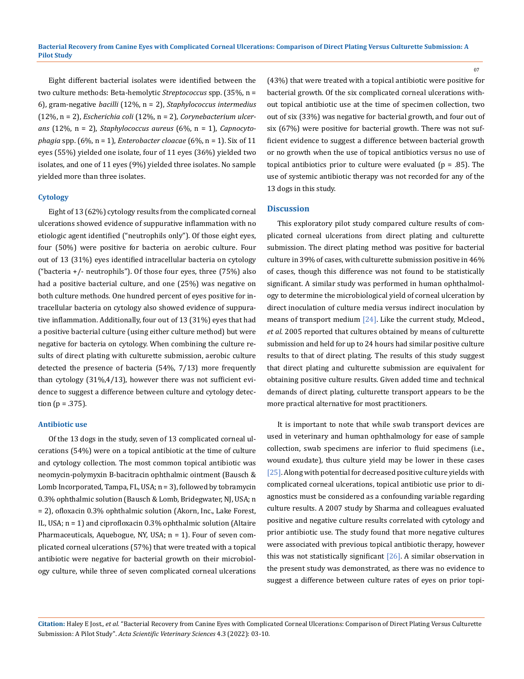Eight different bacterial isolates were identified between the two culture methods: Beta-hemolytic *Streptococcus* spp. (35%, n = 6), gram-negative *bacilli* (12%, n = 2), *Staphylococcus intermedius* (12%, n = 2), *Escherichia coli* (12%, n = 2), *Corynebacterium ulcerans* (12%, n = 2), *Staphylococcus aureus* (6%, n = 1), *Capnocytophagia* spp. (6%, n = 1), *Enterobacter cloacae* (6%, n = 1). Six of 11 eyes (55%) yielded one isolate, four of 11 eyes (36%) yielded two isolates, and one of 11 eyes (9%) yielded three isolates. No sample yielded more than three isolates.

### **Cytology**

Eight of 13 (62%) cytology results from the complicated corneal ulcerations showed evidence of suppurative inflammation with no etiologic agent identified ("neutrophils only"). Of those eight eyes, four (50%) were positive for bacteria on aerobic culture. Four out of 13 (31%) eyes identified intracellular bacteria on cytology ("bacteria  $+/-$  neutrophils"). Of those four eyes, three (75%) also had a positive bacterial culture, and one (25%) was negative on both culture methods. One hundred percent of eyes positive for intracellular bacteria on cytology also showed evidence of suppurative inflammation. Additionally, four out of 13 (31%) eyes that had a positive bacterial culture (using either culture method) but were negative for bacteria on cytology. When combining the culture results of direct plating with culturette submission, aerobic culture detected the presence of bacteria (54%, 7/13) more frequently than cytology (31%,4/13), however there was not sufficient evidence to suggest a difference between culture and cytology detection ( $p = .375$ ).

#### **Antibiotic use**

Of the 13 dogs in the study, seven of 13 complicated corneal ulcerations (54%) were on a topical antibiotic at the time of culture and cytology collection. The most common topical antibiotic was neomycin-polymyxin B-bacitracin ophthalmic ointment (Bausch & Lomb Incorporated, Tampa, FL, USA; n = 3), followed by tobramycin 0.3% ophthalmic solution (Bausch & Lomb, Bridegwater, NJ, USA; n = 2), ofloxacin 0.3% ophthalmic solution (Akorn, Inc., Lake Forest, IL, USA; n = 1) and ciprofloxacin 0.3% ophthalmic solution (Altaire Pharmaceuticals, Aquebogue, NY, USA; n = 1). Four of seven complicated corneal ulcerations (57%) that were treated with a topical antibiotic were negative for bacterial growth on their microbiology culture, while three of seven complicated corneal ulcerations (43%) that were treated with a topical antibiotic were positive for bacterial growth. Of the six complicated corneal ulcerations without topical antibiotic use at the time of specimen collection, two out of six (33%) was negative for bacterial growth, and four out of six (67%) were positive for bacterial growth. There was not sufficient evidence to suggest a difference between bacterial growth or no growth when the use of topical antibiotics versus no use of topical antibiotics prior to culture were evaluated ( $p = .85$ ). The use of systemic antibiotic therapy was not recorded for any of the 13 dogs in this study.

#### **Discussion**

This exploratory pilot study compared culture results of complicated corneal ulcerations from direct plating and culturette submission. The direct plating method was positive for bacterial culture in 39% of cases, with culturette submission positive in 46% of cases, though this difference was not found to be statistically significant. A similar study was performed in human ophthalmology to determine the microbiological yield of corneal ulceration by direct inoculation of culture media versus indirect inoculation by means of transport medium [24]. Like the current study, Mcleod., *et al*. 2005 reported that cultures obtained by means of culturette submission and held for up to 24 hours had similar positive culture results to that of direct plating. The results of this study suggest that direct plating and culturette submission are equivalent for obtaining positive culture results. Given added time and technical demands of direct plating, culturette transport appears to be the more practical alternative for most practitioners.

It is important to note that while swab transport devices are used in veterinary and human ophthalmology for ease of sample collection, swab specimens are inferior to fluid specimens (i.e., wound exudate), thus culture yield may be lower in these cases [25]. Along with potential for decreased positive culture yields with complicated corneal ulcerations, topical antibiotic use prior to diagnostics must be considered as a confounding variable regarding culture results. A 2007 study by Sharma and colleagues evaluated positive and negative culture results correlated with cytology and prior antibiotic use. The study found that more negative cultures were associated with previous topical antibiotic therapy, however this was not statistically significant  $[26]$ . A similar observation in the present study was demonstrated, as there was no evidence to suggest a difference between culture rates of eyes on prior topi-

**Citation:** Haley E Jost*., et al.* "Bacterial Recovery from Canine Eyes with Complicated Corneal Ulcerations: Comparison of Direct Plating Versus Culturette Submission: A Pilot Study". *Acta Scientific Veterinary Sciences* 4.3 (2022): 03-10.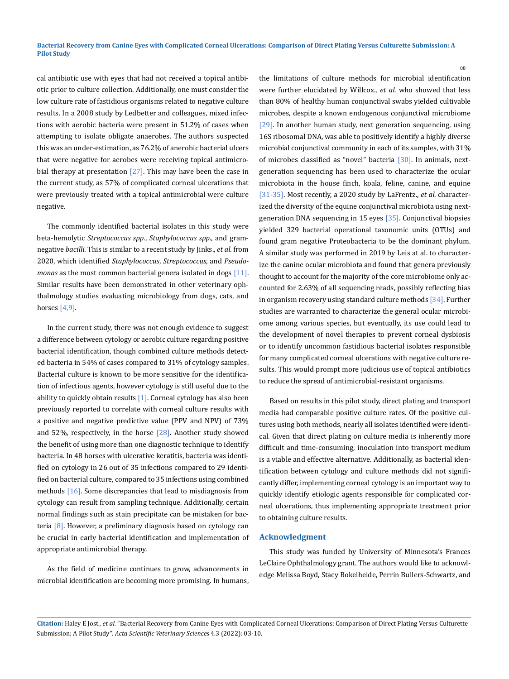cal antibiotic use with eyes that had not received a topical antibiotic prior to culture collection. Additionally, one must consider the low culture rate of fastidious organisms related to negative culture results. In a 2008 study by Ledbetter and colleagues, mixed infections with aerobic bacteria were present in 51.2% of cases when attempting to isolate obligate anaerobes. The authors suspected this was an under-estimation, as 76.2% of anerobic bacterial ulcers that were negative for aerobes were receiving topical antimicrobial therapy at presentation  $[27]$ . This may have been the case in the current study, as 57% of complicated corneal ulcerations that were previously treated with a topical antimicrobial were culture negative.

The commonly identified bacterial isolates in this study were beta-hemolytic *Streptococcus spp*., *Staphylococcus spp*., and gramnegative *bacilli*. This is similar to a recent study by Jinks., *et al*. from 2020, which identified *Staphylococcus*, *Streptococcus*, and *Pseudomonas* as the most common bacterial genera isolated in dogs [11]. Similar results have been demonstrated in other veterinary ophthalmology studies evaluating microbiology from dogs, cats, and horses [4,9].

In the current study, there was not enough evidence to suggest a difference between cytology or aerobic culture regarding positive bacterial identification, though combined culture methods detected bacteria in 54% of cases compared to 31% of cytology samples. Bacterial culture is known to be more sensitive for the identification of infectious agents, however cytology is still useful due to the ability to quickly obtain results  $[1]$ . Corneal cytology has also been previously reported to correlate with corneal culture results with a positive and negative predictive value (PPV and NPV) of 73% and 52%, respectively, in the horse [28]. Another study showed the benefit of using more than one diagnostic technique to identify bacteria. In 48 horses with ulcerative keratitis, bacteria was identified on cytology in 26 out of 35 infections compared to 29 identified on bacterial culture, compared to 35 infections using combined methods [16]. Some discrepancies that lead to misdiagnosis from cytology can result from sampling technique. Additionally, certain normal findings such as stain precipitate can be mistaken for bacteria [8]. However, a preliminary diagnosis based on cytology can be crucial in early bacterial identification and implementation of appropriate antimicrobial therapy.

As the field of medicine continues to grow, advancements in microbial identification are becoming more promising. In humans, the limitations of culture methods for microbial identification were further elucidated by Willcox., *et al*. who showed that less than 80% of healthy human conjunctival swabs yielded cultivable microbes, despite a known endogenous conjunctival microbiome [29]. In another human study, next generation sequencing, using 16S ribosomal DNA, was able to positively identify a highly diverse microbial conjunctival community in each of its samples, with 31% of microbes classified as "novel" bacteria [30]. In animals, nextgeneration sequencing has been used to characterize the ocular microbiota in the house finch, koala, feline, canine, and equine [31-35]. Most recently, a 2020 study by LaFrentz., *et al*. characterized the diversity of the equine conjunctival microbiota using nextgeneration DNA sequencing in 15 eyes [35]. Conjunctival biopsies yielded 329 bacterial operational taxonomic units (OTUs) and found gram negative Proteobacteria to be the dominant phylum. A similar study was performed in 2019 by Leis at al. to characterize the canine ocular microbiota and found that genera previously thought to account for the majority of the core microbiome only accounted for 2.63% of all sequencing reads, possibly reflecting bias in organism recovery using standard culture methods [34]. Further studies are warranted to characterize the general ocular microbiome among various species, but eventually, its use could lead to the development of novel therapies to prevent corneal dysbiosis or to identify uncommon fastidious bacterial isolates responsible for many complicated corneal ulcerations with negative culture results. This would prompt more judicious use of topical antibiotics to reduce the spread of antimicrobial-resistant organisms.

08

Based on results in this pilot study, direct plating and transport media had comparable positive culture rates. Of the positive cultures using both methods, nearly all isolates identified were identical. Given that direct plating on culture media is inherently more difficult and time-consuming, inoculation into transport medium is a viable and effective alternative. Additionally, as bacterial identification between cytology and culture methods did not significantly differ, implementing corneal cytology is an important way to quickly identify etiologic agents responsible for complicated corneal ulcerations, thus implementing appropriate treatment prior to obtaining culture results.

### **Acknowledgment**

This study was funded by University of Minnesota's Frances LeClaire Ophthalmology grant. The authors would like to acknowledge Melissa Boyd, Stacy Bokelheide, Perrin Bullers-Schwartz, and

**Citation:** Haley E Jost*., et al.* "Bacterial Recovery from Canine Eyes with Complicated Corneal Ulcerations: Comparison of Direct Plating Versus Culturette Submission: A Pilot Study". *Acta Scientific Veterinary Sciences* 4.3 (2022): 03-10.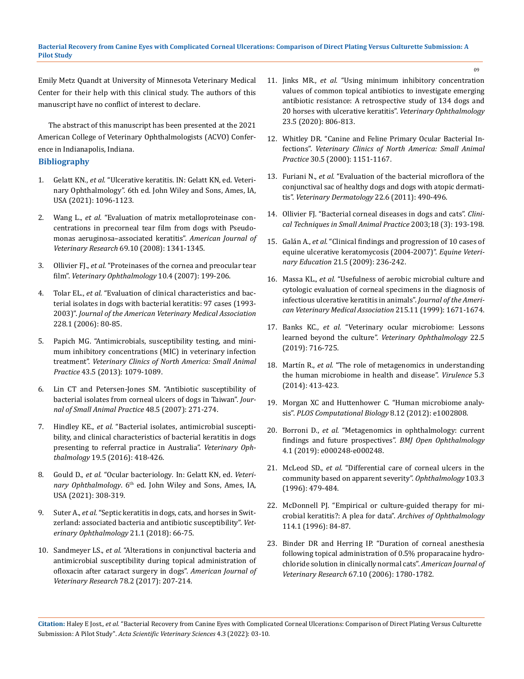Emily Metz Quandt at University of Minnesota Veterinary Medical Center for their help with this clinical study. The authors of this manuscript have no conflict of interest to declare.

The abstract of this manuscript has been presented at the 2021 American College of Veterinary Ophthalmologists (ACVO) Conference in Indianapolis, Indiana.

### **Bibliography**

- 1. Gelatt KN., *et al.* ["Ulcerative keratitis. IN: Gelatt KN, ed. Veteri](https://www.sciencedirect.com/science/article/abs/pii/S0195561690500558)[nary Ophthalmology". 6th ed. John Wiley and Sons, Ames, IA,](https://www.sciencedirect.com/science/article/abs/pii/S0195561690500558)  [USA \(2021\): 1096-1123.](https://www.sciencedirect.com/science/article/abs/pii/S0195561690500558)
- 2. Wang L., *et al.* ["Evaluation of matrix metalloproteinase con](https://pubmed.ncbi.nlm.nih.gov/18828693/)[centrations in precorneal tear film from dogs with Pseudo](https://pubmed.ncbi.nlm.nih.gov/18828693/)[monas aeruginosa–associated keratitis".](https://pubmed.ncbi.nlm.nih.gov/18828693/) *American Journal of Veterinary Research* [69.10 \(2008\): 1341-1345.](https://pubmed.ncbi.nlm.nih.gov/18828693/)
- 3. Ollivier FJ., *et al.* ["Proteinases of the cornea and preocular tear](https://pubmed.ncbi.nlm.nih.gov/17565550/)  film". *[Veterinary Ophthalmology](https://pubmed.ncbi.nlm.nih.gov/17565550/)* 10.4 (2007): 199-206.
- 4. Tolar EL., *et al.* ["Evaluation of clinical characteristics and bac](https://pubmed.ncbi.nlm.nih.gov/16426172/)[terial isolates in dogs with bacterial keratitis: 97 cases \(1993-](https://pubmed.ncbi.nlm.nih.gov/16426172/) 2003)". *[Journal of the American Veterinary Medical Association](https://pubmed.ncbi.nlm.nih.gov/16426172/)*  [228.1 \(2006\): 80-85.](https://pubmed.ncbi.nlm.nih.gov/16426172/)
- 5. [Papich MG. "Antimicrobials, susceptibility testing, and mini](https://pubmed.ncbi.nlm.nih.gov/23890240/)[mum inhibitory concentrations \(MIC\) in veterinary infection](https://pubmed.ncbi.nlm.nih.gov/23890240/)  treatment". *[Veterinary Clinics of North America: Small Animal](https://pubmed.ncbi.nlm.nih.gov/23890240/)  Practice* [43.5 \(2013\): 1079-1089.](https://pubmed.ncbi.nlm.nih.gov/23890240/)
- 6. [Lin CT and Petersen-Jones SM. "Antibiotic susceptibility of](https://pubmed.ncbi.nlm.nih.gov/17425695/)  [bacterial isolates from corneal ulcers of dogs in Taiwan".](https://pubmed.ncbi.nlm.nih.gov/17425695/) *Jour[nal of Small Animal Practice](https://pubmed.ncbi.nlm.nih.gov/17425695/)* 48.5 (2007): 271-274.
- 7. Hindley KE., *et al.* ["Bacterial isolates, antimicrobial suscepti](https://pubmed.ncbi.nlm.nih.gov/26522379/)[bility, and clinical characteristics of bacterial keratitis in dogs](https://pubmed.ncbi.nlm.nih.gov/26522379/)  [presenting to referral practice in Australia".](https://pubmed.ncbi.nlm.nih.gov/26522379/) *Veterinary Ophthalmology* [19.5 \(2016\): 418-426.](https://pubmed.ncbi.nlm.nih.gov/26522379/)
- 8. Gould D., *et al.* "Ocular bacteriology*.* In: Gelatt KN, ed. *Veteri*nary Ophthalmology. 6<sup>th</sup> ed. John Wiley and Sons, Ames, IA, USA (2021): 308-319.
- 9. Suter A., *et al.* ["Septic keratitis in dogs, cats, and horses in Swit](https://pubmed.ncbi.nlm.nih.gov/28557367/)[zerland: associated bacteria and antibiotic susceptibility".](https://pubmed.ncbi.nlm.nih.gov/28557367/) *Vet[erinary Ophthalmology](https://pubmed.ncbi.nlm.nih.gov/28557367/)* 21.1 (2018): 66-75.
- 10. Sandmeyer LS., *et al.* ["Alterations in conjunctival bacteria and](https://pubmed.ncbi.nlm.nih.gov/28140645/)  [antimicrobial susceptibility during topical administration of](https://pubmed.ncbi.nlm.nih.gov/28140645/)  [ofloxacin after cataract surgery in dogs".](https://pubmed.ncbi.nlm.nih.gov/28140645/) *American Journal of [Veterinary Research](https://pubmed.ncbi.nlm.nih.gov/28140645/)* 78.2 (2017): 207-214.

11. Jinks MR., *et al.* ["Using minimum inhibitory concentration](https://onlinelibrary.wiley.com/doi/abs/10.1111/vop.12801)  [values of common topical antibiotics to investigate emerging](https://onlinelibrary.wiley.com/doi/abs/10.1111/vop.12801)  [antibiotic resistance: A retrospective study of 134 dogs and](https://onlinelibrary.wiley.com/doi/abs/10.1111/vop.12801)  [20 horses with ulcerative keratitis".](https://onlinelibrary.wiley.com/doi/abs/10.1111/vop.12801) *Veterinary Ophthalmology* [23.5 \(2020\): 806-813.](https://onlinelibrary.wiley.com/doi/abs/10.1111/vop.12801)

- 12. [Whitley DR. "Canine and Feline Primary Ocular Bacterial In](https://pubmed.ncbi.nlm.nih.gov/11033880/)fections". *[Veterinary Clinics of North](https://pubmed.ncbi.nlm.nih.gov/11033880/) America: Small Animal Practice* [30.5 \(2000\): 1151-1167.](https://pubmed.ncbi.nlm.nih.gov/11033880/)
- 13. Furiani N., *et al.* ["Evaluation of the bacterial microflora of the](https://pubmed.ncbi.nlm.nih.gov/21535255/)  [conjunctival sac of healthy dogs and dogs with atopic dermati](https://pubmed.ncbi.nlm.nih.gov/21535255/)tis". *[Veterinary Dermatology](https://pubmed.ncbi.nlm.nih.gov/21535255/)* 22.6 (2011): 490-496.
- 14. [Ollivier FJ. "Bacterial corneal diseases in dogs and cats".](https://pubmed.ncbi.nlm.nih.gov/14604094/) *Clini[cal Techniques in Small Animal Practice](https://pubmed.ncbi.nlm.nih.gov/14604094/)* 2003;18 (3): 193-198.
- 15. Galán A., *et al.* ["Clinical findings and progression of 10 cases of](https://beva.onlinelibrary.wiley.com/doi/10.2746/095777309X400289)  [equine ulcerative keratomycosis \(2004-2007\)".](https://beva.onlinelibrary.wiley.com/doi/10.2746/095777309X400289) *Equine Veterinary Education* [21.5 \(2009\): 236-242.](https://beva.onlinelibrary.wiley.com/doi/10.2746/095777309X400289)
- 16. Massa KL., *et al.* ["Usefulness of aerobic microbial culture and](https://pubmed.ncbi.nlm.nih.gov/14567433/)  [cytologic evaluation of corneal specimens in the diagnosis of](https://pubmed.ncbi.nlm.nih.gov/14567433/)  [infectious ulcerative keratitis in animals".](https://pubmed.ncbi.nlm.nih.gov/14567433/) *Journal of the Ameri[can Veterinary Medical Association](https://pubmed.ncbi.nlm.nih.gov/14567433/)* 215.11 (1999): 1671-1674.
- 17. Banks KC., *et al.* ["Veterinary ocular microbiome: Lessons](file:///E:/ANUSHA/Acta/MARCH/ASVS/New%20folder/Veterinary%20ocular%20microbiome:%20Lessons%20learned%20beyond%20the%20culture)  [learned beyond the culture".](file:///E:/ANUSHA/Acta/MARCH/ASVS/New%20folder/Veterinary%20ocular%20microbiome:%20Lessons%20learned%20beyond%20the%20culture) *Veterinary Ophthalmology* 22.5 [\(2019\): 716-725.](file:///E:/ANUSHA/Acta/MARCH/ASVS/New%20folder/Veterinary%20ocular%20microbiome:%20Lessons%20learned%20beyond%20the%20culture)
- 18. Martín R., *et al.* ["The role of metagenomics in understanding](https://www.ncbi.nlm.nih.gov/pmc/articles/PMC3979869/)  [the human microbiome in health and disease".](https://www.ncbi.nlm.nih.gov/pmc/articles/PMC3979869/) *Virulence* 5.3 [\(2014\): 413-423.](https://www.ncbi.nlm.nih.gov/pmc/articles/PMC3979869/)
- 19. [Morgan XC and Huttenhower C. "Human microbiome analy](https://pubmed.ncbi.nlm.nih.gov/23300406/)sis". *[PLOS Computational Biology](https://pubmed.ncbi.nlm.nih.gov/23300406/)* 8.12 (2012): e1002808.
- 20. Borroni D., *et al.* ["Metagenomics in ophthalmology: current](https://pubmed.ncbi.nlm.nih.gov/31276030/)  [findings and future prospectives".](https://pubmed.ncbi.nlm.nih.gov/31276030/) *BMJ Open Ophthalmology* [4.1 \(2019\): e000248-e000248.](https://pubmed.ncbi.nlm.nih.gov/31276030/)
- 21. McLeod SD., *et al.* ["Differential care of corneal ulcers in the](https://pubmed.ncbi.nlm.nih.gov/8600426/)  [community based on apparent severity".](https://pubmed.ncbi.nlm.nih.gov/8600426/) *Ophthalmology* 103.3 [\(1996\): 479-484.](https://pubmed.ncbi.nlm.nih.gov/8600426/)
- 22. [McDonnell PJ. "Empirical or culture-guided therapy for mi](https://pubmed.ncbi.nlm.nih.gov/8540856/)[crobial keratitis?: A plea for data".](https://pubmed.ncbi.nlm.nih.gov/8540856/) *Archives of Ophthalmology* [114.1 \(1996\): 84-87.](https://pubmed.ncbi.nlm.nih.gov/8540856/)
- 23. [Binder DR and Herring IP. "Duration of corneal anesthesia](https://pubmed.ncbi.nlm.nih.gov/17014333/)  [following topical administration of 0.5% proparacaine hydro](https://pubmed.ncbi.nlm.nih.gov/17014333/)[chloride solution in clinically normal cats".](https://pubmed.ncbi.nlm.nih.gov/17014333/) *American Journal of Veterinary Research* [67.10 \(2006\): 1780-1782.](https://pubmed.ncbi.nlm.nih.gov/17014333/)

**Citation:** Haley E Jost*., et al.* "Bacterial Recovery from Canine Eyes with Complicated Corneal Ulcerations: Comparison of Direct Plating Versus Culturette Submission: A Pilot Study". *Acta Scientific Veterinary Sciences* 4.3 (2022): 03-10.